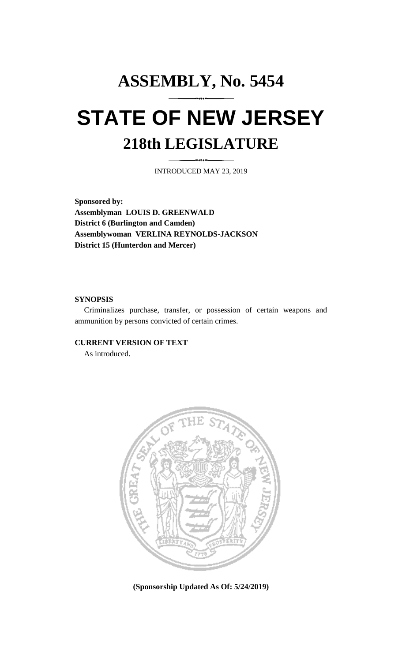# **ASSEMBLY, No. 5454 STATE OF NEW JERSEY 218th LEGISLATURE**

INTRODUCED MAY 23, 2019

**Sponsored by: Assemblyman LOUIS D. GREENWALD District 6 (Burlington and Camden) Assemblywoman VERLINA REYNOLDS-JACKSON District 15 (Hunterdon and Mercer)**

#### **SYNOPSIS**

Criminalizes purchase, transfer, or possession of certain weapons and ammunition by persons convicted of certain crimes.

### **CURRENT VERSION OF TEXT**

As introduced.



**(Sponsorship Updated As Of: 5/24/2019)**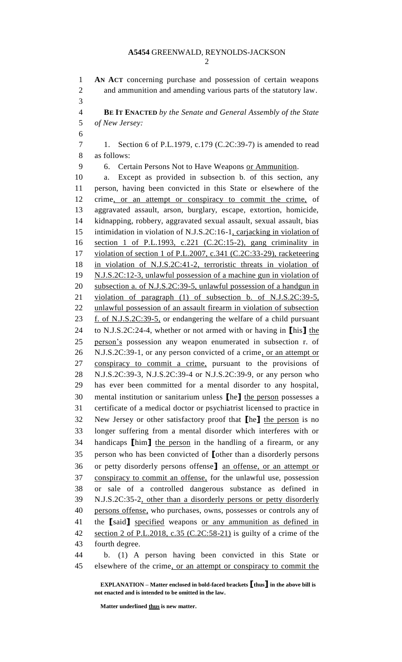**AN ACT** concerning purchase and possession of certain weapons and ammunition and amending various parts of the statutory law. **BE IT ENACTED** *by the Senate and General Assembly of the State of New Jersey:* 7 1. Section 6 of P.L.1979, c.179 (C.2C:39-7) is amended to read as follows: 6. Certain Persons Not to Have Weapons or Ammunition. a. Except as provided in subsection b. of this section, any person, having been convicted in this State or elsewhere of the crime, or an attempt or conspiracy to commit the crime, of aggravated assault, arson, burglary, escape, extortion, homicide, kidnapping, robbery, aggravated sexual assault, sexual assault, bias 15 intimidation in violation of N.J.S.2C:16-1, carjacking in violation of section 1 of P.L.1993, c.221 (C.2C:15-2), gang criminality in violation of section 1 of P.L.2007, c.341 (C.2C:33-29), racketeering in violation of N.J.S.2C:41-2, terroristic threats in violation of N.J.S.2C:12-3, unlawful possession of a machine gun in violation of subsection a. of N.J.S.2C:39-5, unlawful possession of a handgun in violation of paragraph (1) of subsection b. of N.J.S.2C:39-5, unlawful possession of an assault firearm in violation of subsection 23 f. of N.J.S.2C:39-5, or endangering the welfare of a child pursuant to N.J.S.2C:24-4, whether or not armed with or having in **[**his**]** the person's possession any weapon enumerated in subsection r. of N.J.S.2C:39-1, or any person convicted of a crime, or an attempt or conspiracy to commit a crime, pursuant to the provisions of N.J.S.2C:39-3, N.J.S.2C:39-4 or N.J.S.2C:39-9, or any person who has ever been committed for a mental disorder to any hospital, mental institution or sanitarium unless **[**he**]** the person possesses a certificate of a medical doctor or psychiatrist licensed to practice in New Jersey or other satisfactory proof that **[**he**]** the person is no longer suffering from a mental disorder which interferes with or handicaps **[**him**]** the person in the handling of a firearm, or any person who has been convicted of **[**other than a disorderly persons or petty disorderly persons offense**]** an offense, or an attempt or conspiracy to commit an offense, for the unlawful use, possession or sale of a controlled dangerous substance as defined in N.J.S.2C:35-2, other than a disorderly persons or petty disorderly persons offense, who purchases, owns, possesses or controls any of the **[**said**]** specified weapons or any ammunition as defined in 42 section 2 of P.L.2018, c.35 (C.2C:58-21) is guilty of a crime of the fourth degree. b. (1) A person having been convicted in this State or elsewhere of the crime, or an attempt or conspiracy to commit the

**EXPLANATION – Matter enclosed in bold-faced brackets [thus] in the above bill is not enacted and is intended to be omitted in the law.**

**Matter underlined thus is new matter.**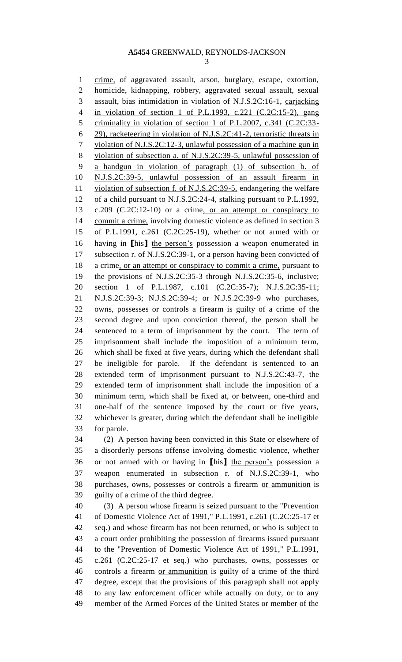crime, of aggravated assault, arson, burglary, escape, extortion, homicide, kidnapping, robbery, aggravated sexual assault, sexual assault, bias intimidation in violation of N.J.S.2C:16-1, carjacking in violation of section 1 of P.L.1993, c.221 (C.2C:15-2), gang 5 criminality in violation of section 1 of P.L.2007, c.341 (C.2C:33- 29), racketeering in violation of N.J.S.2C:41-2, terroristic threats in violation of N.J.S.2C:12-3, unlawful possession of a machine gun in violation of subsection a. of N.J.S.2C:39-5, unlawful possession of a handgun in violation of paragraph (1) of subsection b. of N.J.S.2C:39-5, unlawful possession of an assault firearm in 11 violation of subsection f. of N.J.S.2C:39-5, endangering the welfare of a child pursuant to N.J.S.2C:24-4, stalking pursuant to P.L.1992, c.209 (C.2C:12-10) or a crime, or an attempt or conspiracy to 14 commit a crime, involving domestic violence as defined in section 3 of P.L.1991, c.261 (C.2C:25-19), whether or not armed with or having in **[**his**]** the person's possession a weapon enumerated in subsection r. of N.J.S.2C:39-1, or a person having been convicted of 18 a crime, or an attempt or conspiracy to commit a crime, pursuant to the provisions of N.J.S.2C:35-3 through N.J.S.2C:35-6, inclusive; section 1 of P.L.1987, c.101 (C.2C:35-7); N.J.S.2C:35-11; N.J.S.2C:39-3; N.J.S.2C:39-4; or N.J.S.2C:39-9 who purchases, owns, possesses or controls a firearm is guilty of a crime of the second degree and upon conviction thereof, the person shall be sentenced to a term of imprisonment by the court. The term of imprisonment shall include the imposition of a minimum term, which shall be fixed at five years, during which the defendant shall be ineligible for parole. If the defendant is sentenced to an extended term of imprisonment pursuant to N.J.S.2C:43-7, the extended term of imprisonment shall include the imposition of a minimum term, which shall be fixed at, or between, one-third and one-half of the sentence imposed by the court or five years, whichever is greater, during which the defendant shall be ineligible for parole.

 (2) A person having been convicted in this State or elsewhere of a disorderly persons offense involving domestic violence, whether or not armed with or having in **[**his**]** the person's possession a weapon enumerated in subsection r. of N.J.S.2C:39-1, who purchases, owns, possesses or controls a firearm or ammunition is guilty of a crime of the third degree.

 (3) A person whose firearm is seized pursuant to the "Prevention of Domestic Violence Act of 1991," P.L.1991, c.261 (C.2C:25-17 et seq.) and whose firearm has not been returned, or who is subject to a court order prohibiting the possession of firearms issued pursuant to the "Prevention of Domestic Violence Act of 1991," P.L.1991, c.261 (C.2C:25-17 et seq.) who purchases, owns, possesses or controls a firearm or ammunition is guilty of a crime of the third degree, except that the provisions of this paragraph shall not apply to any law enforcement officer while actually on duty, or to any member of the Armed Forces of the United States or member of the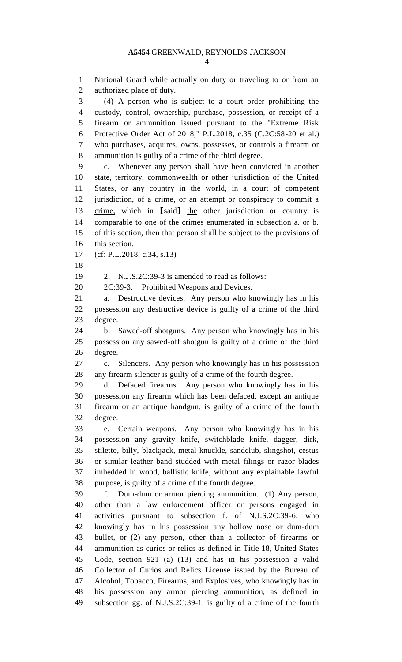National Guard while actually on duty or traveling to or from an authorized place of duty.

 (4) A person who is subject to a court order prohibiting the custody, control, ownership, purchase, possession, or receipt of a firearm or ammunition issued pursuant to the "Extreme Risk Protective Order Act of 2018," P.L.2018, c.35 (C.2C:58-20 et al.) who purchases, acquires, owns, possesses, or controls a firearm or ammunition is guilty of a crime of the third degree.

 c. Whenever any person shall have been convicted in another state, territory, commonwealth or other jurisdiction of the United States, or any country in the world, in a court of competent 12 jurisdiction, of a crime, or an attempt or conspiracy to commit a crime, which in **[**said**]** the other jurisdiction or country is comparable to one of the crimes enumerated in subsection a. or b. of this section, then that person shall be subject to the provisions of this section.

(cf: P.L.2018, c.34, s.13)

2. N.J.S.2C:39-3 is amended to read as follows:

2C:39-3. Prohibited Weapons and Devices.

 a. Destructive devices. Any person who knowingly has in his possession any destructive device is guilty of a crime of the third degree.

 b. Sawed-off shotguns. Any person who knowingly has in his possession any sawed-off shotgun is guilty of a crime of the third degree.

 c. Silencers. Any person who knowingly has in his possession any firearm silencer is guilty of a crime of the fourth degree.

 d. Defaced firearms. Any person who knowingly has in his possession any firearm which has been defaced, except an antique firearm or an antique handgun, is guilty of a crime of the fourth degree.

 e. Certain weapons. Any person who knowingly has in his possession any gravity knife, switchblade knife, dagger, dirk, stiletto, billy, blackjack, metal knuckle, sandclub, slingshot, cestus or similar leather band studded with metal filings or razor blades imbedded in wood, ballistic knife, without any explainable lawful purpose, is guilty of a crime of the fourth degree.

 f. Dum-dum or armor piercing ammunition. (1) Any person, other than a law enforcement officer or persons engaged in activities pursuant to subsection f. of N.J.S.2C:39-6, who knowingly has in his possession any hollow nose or dum-dum bullet, or (2) any person, other than a collector of firearms or ammunition as curios or relics as defined in Title 18, United States Code, section 921 (a) (13) and has in his possession a valid Collector of Curios and Relics License issued by the Bureau of Alcohol, Tobacco, Firearms, and Explosives, who knowingly has in his possession any armor piercing ammunition, as defined in subsection gg. of N.J.S.2C:39-1, is guilty of a crime of the fourth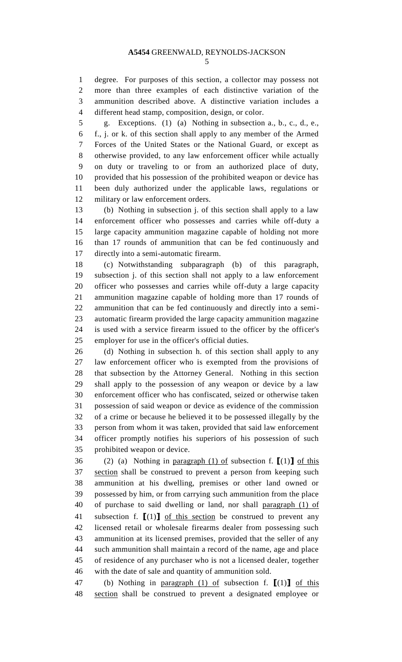degree. For purposes of this section, a collector may possess not more than three examples of each distinctive variation of the ammunition described above. A distinctive variation includes a different head stamp, composition, design, or color.

 g. Exceptions. (1) (a) Nothing in subsection a., b., c., d., e., f., j. or k. of this section shall apply to any member of the Armed Forces of the United States or the National Guard, or except as otherwise provided, to any law enforcement officer while actually on duty or traveling to or from an authorized place of duty, provided that his possession of the prohibited weapon or device has been duly authorized under the applicable laws, regulations or military or law enforcement orders.

 (b) Nothing in subsection j. of this section shall apply to a law enforcement officer who possesses and carries while off-duty a large capacity ammunition magazine capable of holding not more than 17 rounds of ammunition that can be fed continuously and directly into a semi-automatic firearm.

 (c) Notwithstanding subparagraph (b) of this paragraph, subsection j. of this section shall not apply to a law enforcement officer who possesses and carries while off-duty a large capacity ammunition magazine capable of holding more than 17 rounds of ammunition that can be fed continuously and directly into a semi- automatic firearm provided the large capacity ammunition magazine is used with a service firearm issued to the officer by the officer's employer for use in the officer's official duties.

 (d) Nothing in subsection h. of this section shall apply to any law enforcement officer who is exempted from the provisions of that subsection by the Attorney General. Nothing in this section shall apply to the possession of any weapon or device by a law enforcement officer who has confiscated, seized or otherwise taken possession of said weapon or device as evidence of the commission of a crime or because he believed it to be possessed illegally by the person from whom it was taken, provided that said law enforcement officer promptly notifies his superiors of his possession of such prohibited weapon or device.

36 (2) (a) Nothing in paragraph  $(1)$  of subsection f.  $[(1)]$  of this section shall be construed to prevent a person from keeping such ammunition at his dwelling, premises or other land owned or possessed by him, or from carrying such ammunition from the place of purchase to said dwelling or land, nor shall paragraph (1) of subsection f. **[**(1)**]** of this section be construed to prevent any licensed retail or wholesale firearms dealer from possessing such ammunition at its licensed premises, provided that the seller of any such ammunition shall maintain a record of the name, age and place of residence of any purchaser who is not a licensed dealer, together with the date of sale and quantity of ammunition sold.

 (b) Nothing in paragraph (1) of subsection f. **[**(1)**]** of this section shall be construed to prevent a designated employee or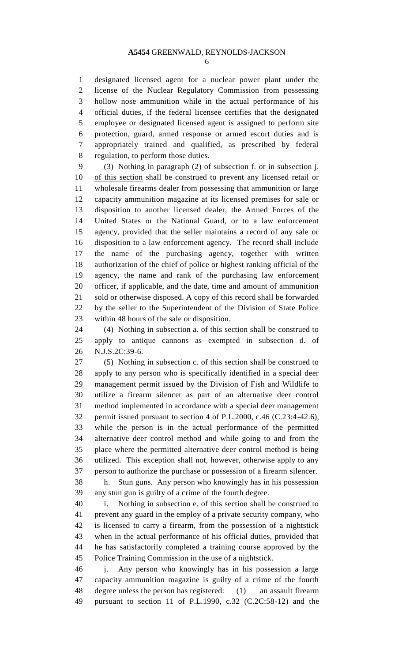designated licensed agent for a nuclear power plant under the license of the Nuclear Regulatory Commission from possessing hollow nose ammunition while in the actual performance of his official duties, if the federal licensee certifies that the designated employee or designated licensed agent is assigned to perform site protection, guard, armed response or armed escort duties and is appropriately trained and qualified, as prescribed by federal regulation, to perform those duties.

 (3) Nothing in paragraph (2) of subsection f. or in subsection j. of this section shall be construed to prevent any licensed retail or wholesale firearms dealer from possessing that ammunition or large capacity ammunition magazine at its licensed premises for sale or disposition to another licensed dealer, the Armed Forces of the United States or the National Guard, or to a law enforcement agency, provided that the seller maintains a record of any sale or disposition to a law enforcement agency. The record shall include the name of the purchasing agency, together with written authorization of the chief of police or highest ranking official of the agency, the name and rank of the purchasing law enforcement officer, if applicable, and the date, time and amount of ammunition sold or otherwise disposed. A copy of this record shall be forwarded by the seller to the Superintendent of the Division of State Police within 48 hours of the sale or disposition.

 (4) Nothing in subsection a. of this section shall be construed to apply to antique cannons as exempted in subsection d. of N.J.S.2C:39-6.

 (5) Nothing in subsection c. of this section shall be construed to apply to any person who is specifically identified in a special deer management permit issued by the Division of Fish and Wildlife to utilize a firearm silencer as part of an alternative deer control method implemented in accordance with a special deer management permit issued pursuant to section 4 of P.L.2000, c.46 (C.23:4-42.6), while the person is in the actual performance of the permitted alternative deer control method and while going to and from the place where the permitted alternative deer control method is being utilized. This exception shall not, however, otherwise apply to any person to authorize the purchase or possession of a firearm silencer. h. Stun guns. Any person who knowingly has in his possession any stun gun is guilty of a crime of the fourth degree.

 i. Nothing in subsection e. of this section shall be construed to prevent any guard in the employ of a private security company, who is licensed to carry a firearm, from the possession of a nightstick when in the actual performance of his official duties, provided that he has satisfactorily completed a training course approved by the Police Training Commission in the use of a nightstick.

 j. Any person who knowingly has in his possession a large capacity ammunition magazine is guilty of a crime of the fourth degree unless the person has registered: (1) an assault firearm pursuant to section 11 of P.L.1990, c.32 (C.2C:58-12) and the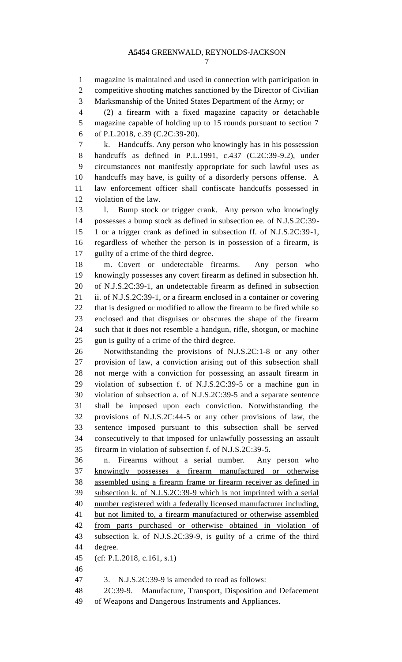magazine is maintained and used in connection with participation in

competitive shooting matches sanctioned by the Director of Civilian

Marksmanship of the United States Department of the Army; or

 (2) a firearm with a fixed magazine capacity or detachable magazine capable of holding up to 15 rounds pursuant to section 7 of P.L.2018, c.39 (C.2C:39-20).

 k. Handcuffs. Any person who knowingly has in his possession handcuffs as defined in P.L.1991, c.437 (C.2C:39-9.2), under circumstances not manifestly appropriate for such lawful uses as handcuffs may have, is guilty of a disorderly persons offense. A law enforcement officer shall confiscate handcuffs possessed in violation of the law.

13 l. Bump stock or trigger crank. Any person who knowingly possesses a bump stock as defined in subsection ee. of N.J.S.2C:39- 1 or a trigger crank as defined in subsection ff. of N.J.S.2C:39-1, regardless of whether the person is in possession of a firearm, is guilty of a crime of the third degree.

 m. Covert or undetectable firearms. Any person who knowingly possesses any covert firearm as defined in subsection hh. of N.J.S.2C:39-1, an undetectable firearm as defined in subsection 21 ii. of N.J.S.2C:39-1, or a firearm enclosed in a container or covering that is designed or modified to allow the firearm to be fired while so enclosed and that disguises or obscures the shape of the firearm such that it does not resemble a handgun, rifle, shotgun, or machine gun is guilty of a crime of the third degree.

 Notwithstanding the provisions of N.J.S.2C:1-8 or any other provision of law, a conviction arising out of this subsection shall not merge with a conviction for possessing an assault firearm in violation of subsection f. of N.J.S.2C:39-5 or a machine gun in violation of subsection a. of N.J.S.2C:39-5 and a separate sentence shall be imposed upon each conviction. Notwithstanding the provisions of N.J.S.2C:44-5 or any other provisions of law, the sentence imposed pursuant to this subsection shall be served consecutively to that imposed for unlawfully possessing an assault firearm in violation of subsection f. of N.J.S.2C:39-5.

 n. Firearms without a serial number. Any person who knowingly possesses a firearm manufactured or otherwise assembled using a firearm frame or firearm receiver as defined in subsection k. of N.J.S.2C:39-9 which is not imprinted with a serial 40 number registered with a federally licensed manufacturer including, but not limited to, a firearm manufactured or otherwise assembled from parts purchased or otherwise obtained in violation of subsection k. of N.J.S.2C:39-9, is guilty of a crime of the third degree.

(cf: P.L.2018, c.161, s.1)

3. N.J.S.2C:39-9 is amended to read as follows:

- 2C:39-9. Manufacture, Transport, Disposition and Defacement
- of Weapons and Dangerous Instruments and Appliances.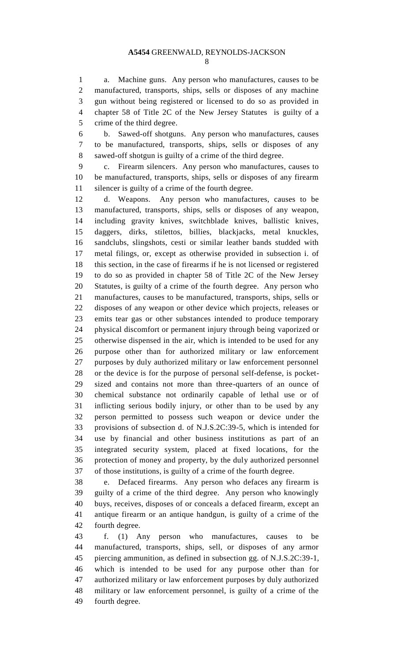a. Machine guns. Any person who manufactures, causes to be manufactured, transports, ships, sells or disposes of any machine gun without being registered or licensed to do so as provided in chapter 58 of Title 2C of the New Jersey Statutes is guilty of a crime of the third degree.

 b. Sawed-off shotguns. Any person who manufactures, causes to be manufactured, transports, ships, sells or disposes of any sawed-off shotgun is guilty of a crime of the third degree.

 c. Firearm silencers. Any person who manufactures, causes to be manufactured, transports, ships, sells or disposes of any firearm silencer is guilty of a crime of the fourth degree.

 d. Weapons. Any person who manufactures, causes to be manufactured, transports, ships, sells or disposes of any weapon, including gravity knives, switchblade knives, ballistic knives, daggers, dirks, stilettos, billies, blackjacks, metal knuckles, sandclubs, slingshots, cesti or similar leather bands studded with metal filings, or, except as otherwise provided in subsection i. of this section, in the case of firearms if he is not licensed or registered to do so as provided in chapter 58 of Title 2C of the New Jersey Statutes, is guilty of a crime of the fourth degree. Any person who manufactures, causes to be manufactured, transports, ships, sells or disposes of any weapon or other device which projects, releases or emits tear gas or other substances intended to produce temporary physical discomfort or permanent injury through being vaporized or otherwise dispensed in the air, which is intended to be used for any purpose other than for authorized military or law enforcement purposes by duly authorized military or law enforcement personnel or the device is for the purpose of personal self-defense, is pocket- sized and contains not more than three-quarters of an ounce of chemical substance not ordinarily capable of lethal use or of inflicting serious bodily injury, or other than to be used by any person permitted to possess such weapon or device under the provisions of subsection d. of N.J.S.2C:39-5, which is intended for use by financial and other business institutions as part of an integrated security system, placed at fixed locations, for the protection of money and property, by the duly authorized personnel of those institutions, is guilty of a crime of the fourth degree.

 e. Defaced firearms. Any person who defaces any firearm is guilty of a crime of the third degree. Any person who knowingly buys, receives, disposes of or conceals a defaced firearm, except an antique firearm or an antique handgun, is guilty of a crime of the fourth degree.

 f. (1) Any person who manufactures, causes to be manufactured, transports, ships, sell, or disposes of any armor piercing ammunition, as defined in subsection gg. of N.J.S.2C:39-1, which is intended to be used for any purpose other than for authorized military or law enforcement purposes by duly authorized military or law enforcement personnel, is guilty of a crime of the fourth degree.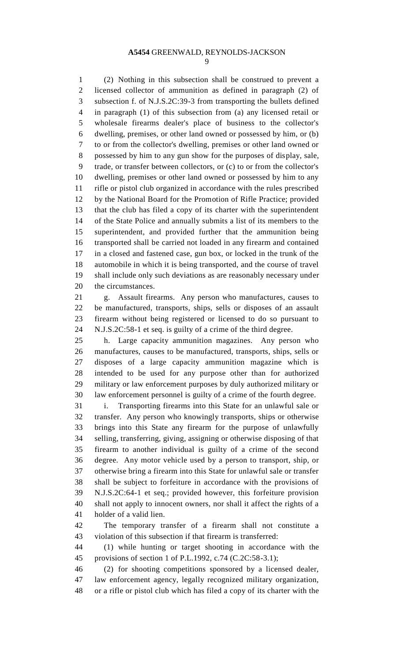(2) Nothing in this subsection shall be construed to prevent a licensed collector of ammunition as defined in paragraph (2) of subsection f. of N.J.S.2C:39-3 from transporting the bullets defined in paragraph (1) of this subsection from (a) any licensed retail or wholesale firearms dealer's place of business to the collector's dwelling, premises, or other land owned or possessed by him, or (b) to or from the collector's dwelling, premises or other land owned or possessed by him to any gun show for the purposes of display, sale, trade, or transfer between collectors, or (c) to or from the collector's dwelling, premises or other land owned or possessed by him to any rifle or pistol club organized in accordance with the rules prescribed by the National Board for the Promotion of Rifle Practice; provided that the club has filed a copy of its charter with the superintendent of the State Police and annually submits a list of its members to the superintendent, and provided further that the ammunition being transported shall be carried not loaded in any firearm and contained in a closed and fastened case, gun box, or locked in the trunk of the automobile in which it is being transported, and the course of travel shall include only such deviations as are reasonably necessary under the circumstances.

 g. Assault firearms. Any person who manufactures, causes to be manufactured, transports, ships, sells or disposes of an assault firearm without being registered or licensed to do so pursuant to N.J.S.2C:58-1 et seq. is guilty of a crime of the third degree.

 h. Large capacity ammunition magazines. Any person who manufactures, causes to be manufactured, transports, ships, sells or disposes of a large capacity ammunition magazine which is intended to be used for any purpose other than for authorized military or law enforcement purposes by duly authorized military or law enforcement personnel is guilty of a crime of the fourth degree.

 i. Transporting firearms into this State for an unlawful sale or transfer. Any person who knowingly transports, ships or otherwise brings into this State any firearm for the purpose of unlawfully selling, transferring, giving, assigning or otherwise disposing of that firearm to another individual is guilty of a crime of the second degree. Any motor vehicle used by a person to transport, ship, or otherwise bring a firearm into this State for unlawful sale or transfer shall be subject to forfeiture in accordance with the provisions of N.J.S.2C:64-1 et seq.; provided however, this forfeiture provision shall not apply to innocent owners, nor shall it affect the rights of a holder of a valid lien.

 The temporary transfer of a firearm shall not constitute a violation of this subsection if that firearm is transferred:

 (1) while hunting or target shooting in accordance with the provisions of section 1 of P.L.1992, c.74 (C.2C:58-3.1);

 (2) for shooting competitions sponsored by a licensed dealer, law enforcement agency, legally recognized military organization, or a rifle or pistol club which has filed a copy of its charter with the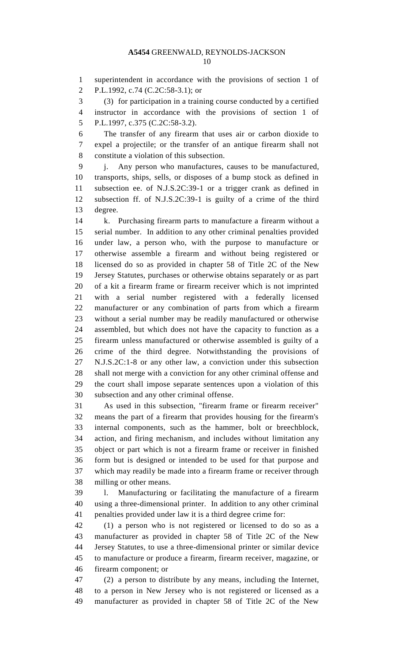superintendent in accordance with the provisions of section 1 of P.L.1992, c.74 (C.2C:58-3.1); or

 (3) for participation in a training course conducted by a certified instructor in accordance with the provisions of section 1 of P.L.1997, c.375 (C.2C:58-3.2).

 The transfer of any firearm that uses air or carbon dioxide to expel a projectile; or the transfer of an antique firearm shall not constitute a violation of this subsection.

 j. Any person who manufactures, causes to be manufactured, transports, ships, sells, or disposes of a bump stock as defined in subsection ee. of N.J.S.2C:39-1 or a trigger crank as defined in subsection ff. of N.J.S.2C:39-1 is guilty of a crime of the third degree.

 k. Purchasing firearm parts to manufacture a firearm without a serial number. In addition to any other criminal penalties provided under law, a person who, with the purpose to manufacture or otherwise assemble a firearm and without being registered or licensed do so as provided in chapter 58 of Title 2C of the New Jersey Statutes, purchases or otherwise obtains separately or as part of a kit a firearm frame or firearm receiver which is not imprinted with a serial number registered with a federally licensed manufacturer or any combination of parts from which a firearm without a serial number may be readily manufactured or otherwise assembled, but which does not have the capacity to function as a firearm unless manufactured or otherwise assembled is guilty of a crime of the third degree. Notwithstanding the provisions of N.J.S.2C:1-8 or any other law, a conviction under this subsection shall not merge with a conviction for any other criminal offense and the court shall impose separate sentences upon a violation of this subsection and any other criminal offense.

 As used in this subsection, "firearm frame or firearm receiver" means the part of a firearm that provides housing for the firearm's internal components, such as the hammer, bolt or breechblock, action, and firing mechanism, and includes without limitation any object or part which is not a firearm frame or receiver in finished form but is designed or intended to be used for that purpose and which may readily be made into a firearm frame or receiver through milling or other means.

 l. Manufacturing or facilitating the manufacture of a firearm using a three-dimensional printer. In addition to any other criminal penalties provided under law it is a third degree crime for:

 (1) a person who is not registered or licensed to do so as a manufacturer as provided in chapter 58 of Title 2C of the New Jersey Statutes, to use a three-dimensional printer or similar device to manufacture or produce a firearm, firearm receiver, magazine, or firearm component; or

 (2) a person to distribute by any means, including the Internet, to a person in New Jersey who is not registered or licensed as a manufacturer as provided in chapter 58 of Title 2C of the New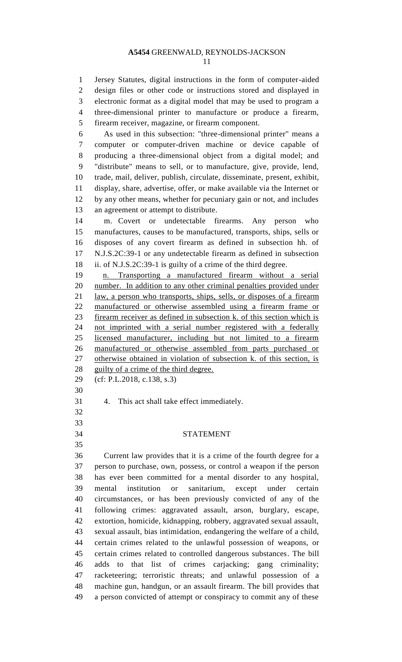Jersey Statutes, digital instructions in the form of computer-aided design files or other code or instructions stored and displayed in electronic format as a digital model that may be used to program a three-dimensional printer to manufacture or produce a firearm, firearm receiver, magazine, or firearm component.

 As used in this subsection: "three-dimensional printer" means a computer or computer-driven machine or device capable of producing a three-dimensional object from a digital model; and "distribute" means to sell, or to manufacture, give, provide, lend, trade, mail, deliver, publish, circulate, disseminate, present, exhibit, display, share, advertise, offer, or make available via the Internet or by any other means, whether for pecuniary gain or not, and includes an agreement or attempt to distribute.

 m. Covert or undetectable firearms. Any person who manufactures, causes to be manufactured, transports, ships, sells or disposes of any covert firearm as defined in subsection hh. of N.J.S.2C:39-1 or any undetectable firearm as defined in subsection 18 ii. of N.J.S.2C:39-1 is guilty of a crime of the third degree.

19 n. Transporting a manufactured firearm without a serial 20 number. In addition to any other criminal penalties provided under law, a person who transports, ships, sells, or disposes of a firearm manufactured or otherwise assembled using a firearm frame or firearm receiver as defined in subsection k. of this section which is not imprinted with a serial number registered with a federally licensed manufacturer, including but not limited to a firearm manufactured or otherwise assembled from parts purchased or otherwise obtained in violation of subsection k. of this section, is 28 guilty of a crime of the third degree.

- (cf: P.L.2018, c.138, s.3)
- 
- 4. This act shall take effect immediately.
- 
- 

### STATEMENT

 Current law provides that it is a crime of the fourth degree for a person to purchase, own, possess, or control a weapon if the person has ever been committed for a mental disorder to any hospital, mental institution or sanitarium, except under certain circumstances, or has been previously convicted of any of the following crimes: aggravated assault, arson, burglary, escape, extortion, homicide, kidnapping, robbery, aggravated sexual assault, sexual assault, bias intimidation, endangering the welfare of a child, certain crimes related to the unlawful possession of weapons, or certain crimes related to controlled dangerous substances. The bill adds to that list of crimes carjacking; gang criminality; racketeering; terroristic threats; and unlawful possession of a machine gun, handgun, or an assault firearm. The bill provides that a person convicted of attempt or conspiracy to commit any of these